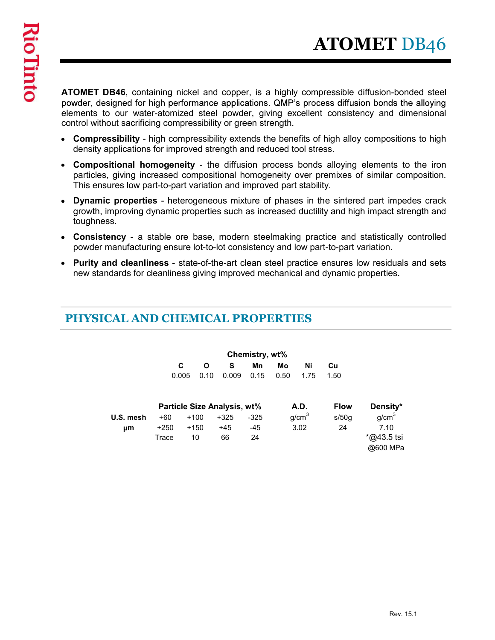ATOMET DB46, containing nickel and copper, is a highly compressible diffusion-bonded steel powder, designed for high performance applications. QMP's process diffusion bonds the alloying elements to our water-atomized steel powder, giving excellent consistency and dimensional control without sacrificing compressibility or green strength.

- Compressibility high compressibility extends the benefits of high alloy compositions to high density applications for improved strength and reduced tool stress.
- Compositional homogeneity the diffusion process bonds alloying elements to the iron particles, giving increased compositional homogeneity over premixes of similar composition. This ensures low part-to-part variation and improved part stability.
- Dynamic properties heterogeneous mixture of phases in the sintered part impedes crack growth, improving dynamic properties such as increased ductility and high impact strength and toughness.
- Consistency a stable ore base, modern steelmaking practice and statistically controlled powder manufacturing ensure lot-to-lot consistency and low part-to-part variation.
- Purity and cleanliness state-of-the-art clean steel practice ensures low residuals and sets new standards for cleanliness giving improved mechanical and dynamic properties.

#### PHYSICAL AND CHEMICAL PROPERTIES

| nsures low part-to-part variation and improved part stability.                                                    |                 |                                    |                             |                |            |                   |             | ositional homogeneity - the diffusion process bonds alloying elements to the iron<br>es, giving increased compositional homogeneity over premixes of similar composition.      |
|-------------------------------------------------------------------------------------------------------------------|-----------------|------------------------------------|-----------------------------|----------------|------------|-------------------|-------------|--------------------------------------------------------------------------------------------------------------------------------------------------------------------------------|
| iess.                                                                                                             |                 |                                    |                             |                |            |                   |             | nic properties - heterogeneous mixture of phases in the sintered part impedes crack<br>, improving dynamic properties such as increased ductility and high impact strength and |
| r manufacturing ensure lot-to-lot consistency and low part-to-part variation.                                     |                 |                                    |                             |                |            |                   |             | stency - a stable ore base, modern steelmaking practice and statistically controlled                                                                                           |
| andards for cleanliness giving improved mechanical and dynamic properties.<br><b>ICAL AND CHEMICAL PROPERTIES</b> |                 |                                    |                             |                |            |                   |             | and cleanliness - state-of-the-art clean steel practice ensures low residuals and sets                                                                                         |
|                                                                                                                   |                 |                                    |                             | Chemistry, wt% |            |                   |             |                                                                                                                                                                                |
|                                                                                                                   |                 | C<br>$\mathbf{o}$<br>0.10<br>0.005 | S<br>0.009                  | Mn<br>0.15     | Mo<br>0.50 | Ni<br>1.75        | Cu<br>1.50  |                                                                                                                                                                                |
|                                                                                                                   |                 |                                    | Particle Size Analysis, wt% |                | A.D.       |                   | <b>Flow</b> | Density*                                                                                                                                                                       |
| U.S. mesh                                                                                                         | $+60$           | $+100$                             | $+325$                      | $-325$         |            | g/cm <sup>3</sup> | s/50g       | g/cm <sup>3</sup>                                                                                                                                                              |
| μm                                                                                                                | $+250$<br>Trace | $+150$<br>10                       | $+45$<br>66                 | -45<br>24      | 3.02       |                   | 24          | 7.10<br>*@43.5 tsi<br>@600 MPa                                                                                                                                                 |
|                                                                                                                   |                 |                                    |                             |                |            |                   |             |                                                                                                                                                                                |
|                                                                                                                   |                 |                                    |                             |                |            |                   |             |                                                                                                                                                                                |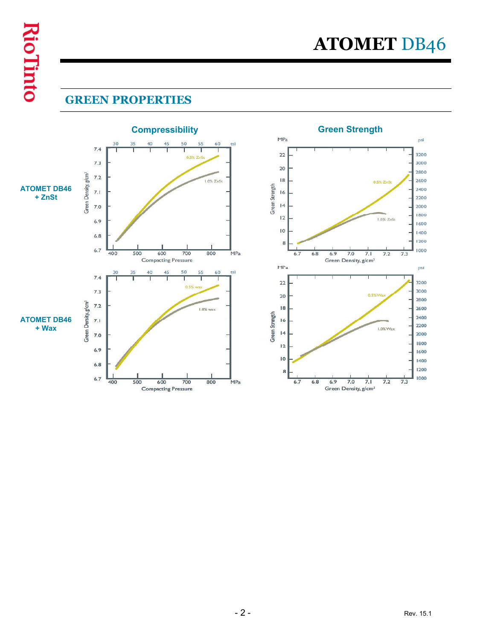# GREEN PROPERTIES

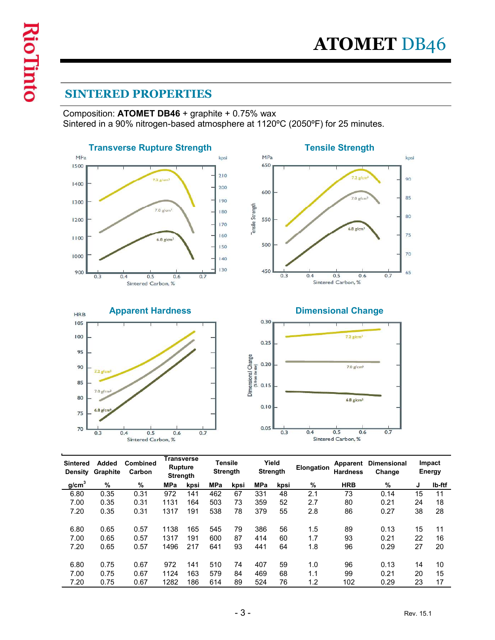# SINTERED PROPERTIES

Composition: ATOMET DB46 + graphite + 0.75% wax Sintered in a 90% nitrogen-based atmosphere at 1120ºC (2050ºF) for 25 minutes.



| 105               |                         |                                  |                              |            |            |                 | 0.30 <sub>1</sub>                                  |                 |            |                                  |                      |                 |          |
|-------------------|-------------------------|----------------------------------|------------------------------|------------|------------|-----------------|----------------------------------------------------|-----------------|------------|----------------------------------|----------------------|-----------------|----------|
| 100               |                         |                                  |                              |            |            |                 | 0.25                                               |                 |            | $72$ g/cm <sup>3</sup>           |                      |                 |          |
| 95                |                         |                                  |                              |            |            |                 |                                                    |                 |            |                                  |                      |                 |          |
| 90                | 7.2 g/cm <sup>3</sup>   |                                  |                              |            |            |                 | Dimensional Change<br>(% t-om de ste)<br>0. I<br>5 |                 |            | $7.0$ g/cm <sup>3</sup>          |                      |                 |          |
| 85                |                         |                                  |                              |            |            |                 |                                                    |                 |            |                                  |                      |                 |          |
| 80                | $7.0$ g/cm <sup>3</sup> |                                  |                              |            |            |                 |                                                    |                 |            | $6.8$ g/cm <sup>3</sup>          |                      |                 |          |
| 75                | $6.8$ g/cm              |                                  |                              |            |            |                 | 0.10                                               |                 |            |                                  |                      |                 |          |
| 70                |                         |                                  |                              |            |            |                 | 0.05                                               |                 |            |                                  |                      |                 |          |
|                   | 0.3                     | 0.5<br>0.4<br>Sintered Carbon, % | 0.6                          | 0.7        |            |                 |                                                    | 0.3             | 0.4        | 0.5<br>0.6<br>Sintered Carbon, % | 0.7                  |                 |          |
|                   |                         |                                  |                              |            |            |                 |                                                    |                 |            |                                  |                      |                 |          |
| Sintered          | Added                   | Combined                         | <b>Transverse</b><br>Rupture |            |            | <b>Tensile</b>  |                                                    | Yield           | Elongation |                                  | Apparent Dimensional |                 | Impact   |
|                   |                         |                                  |                              |            |            |                 |                                                    |                 |            |                                  |                      |                 |          |
|                   | Density Graphite        | Carbon                           | <b>Strength</b>              |            |            | <b>Strength</b> |                                                    | <b>Strength</b> |            | <b>Hardness</b>                  | Change               |                 | Energy   |
| g/cm <sup>3</sup> | %                       | %                                | <b>MPa</b>                   | kpsi       | MPa        | kpsi            | <b>MPa</b>                                         | kpsi            | %          | <b>HRB</b>                       | %                    | J               | Ib-ftf   |
| 6.80              | 0.35                    | 0.31                             | 972                          | 141        | 462        | 67              | 331                                                | 48              | 2.1        | 73                               | 0.14                 | $\overline{15}$ | 11       |
| 7.00              | 0.35                    | 0.31                             | 1131                         | 164        | 503        | 73              | 359                                                | 52              | 2.7        | 80                               | 0.21                 | 24              | 18       |
| 7.20              | 0.35                    | 0.31                             | 1317                         | 191        | 538        | 78              | 379                                                | 55              | 2.8        | 86                               | 0.27                 | 38              | 28       |
| 6.80              | 0.65                    | 0.57                             | 1138                         | 165        | 545        | 79              | 386                                                | 56              | 1.5        | 89                               | 0.13                 | 15              | 11       |
| 7.00              | 0.65                    | 0.57                             | 1317                         | 191        | 600        | 87              | 414                                                | 60              | 1.7        | 93                               | 0.21                 | 22              | 16       |
| 7.20              | 0.65                    | 0.57                             | 1496                         | 217        | 641        | 93              | 441                                                | 64              | 1.8        | 96                               | 0.29                 | 27              | 20       |
|                   |                         | 0.67                             |                              |            |            |                 |                                                    |                 |            |                                  |                      |                 |          |
| 6.80              | 0.75                    |                                  | 972                          | 141        | 510        | 74              | 407                                                | 59              | 1.0        | 96                               | 0.13                 | 14              | 10       |
| 7.00<br>7.20      | 0.75<br>0.75            | 0.67<br>0.67                     | 1124<br>1282                 | 163<br>186 | 579<br>614 | 84<br>89        | 469<br>524                                         | 68<br>76        | 1.1<br>1.2 | 99<br>102                        | 0.21<br>0.29         | 20<br>23        | 15<br>17 |